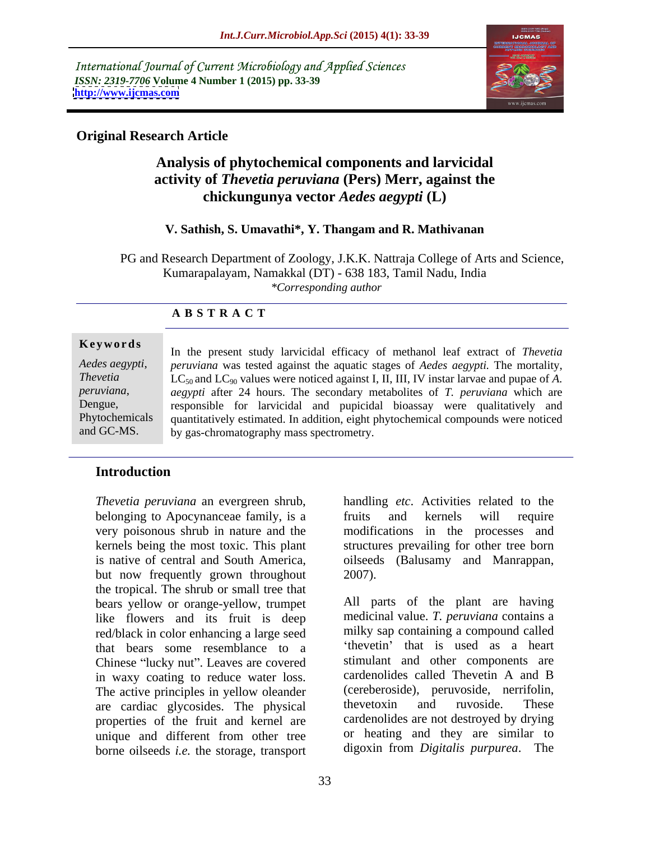International Journal of Current Microbiology and Applied Sciences *ISSN: 2319-7706* **Volume 4 Number 1 (2015) pp. 33-39 <http://www.ijcmas.com>**



# **Original Research Article**

# **Analysis of phytochemical components and larvicidal activity of** *Thevetia peruviana* **(Pers) Merr, against the chickungunya vector** *Aedes aegypti* **(L)**

### **V. Sathish, S. Umavathi\*, Y. Thangam and R. Mathivanan**

 PG and Research Department of Zoology, J.K.K. Nattraja College of Arts and Science, Kumarapalayam, Namakkal (DT) - 638 183, Tamil Nadu, India *\*Corresponding author*

### **A B S T R A C T**

*Aedes aegypti*, and GC-MS.

**Keywords** In the present study larvicidal efficacy of methanol leaf extract of *Thevetia peruviana* was tested against the aquatic stages of *Aedes aegypti.* The mortality, *Thevetia*  $LC_{50}$  and  $LC_{90}$  values were noticed against I, II, III, IV instar larvae and pupae of A. *aegypti* after 24 hours. The secondary metabolites of *T. peruviana* which are peruviana, aegypti after 24 hours. The secondary metabolites of *T. peruviana* which are responsible for larvicidal and pupicidal bioassay were qualitatively and Phytochemicals quantitatively estimated. In addition, eight phytochemical compounds were noticed by gas-chromatography mass spectrometry.

# **Introduction**

*Thevetia peruviana* an evergreen shrub, belonging to Apocynanceae family, is a sequality and kernels will require very poisonous shrub in nature and the modifications in the processes and kernels being the most toxic. This plant structures prevailing for other tree born is native of central and South America, oilseeds (Balusamy and Manrappan, but now frequently grown throughout 2007). the tropical. The shrub or small tree that bears yellow or orange-yellow, trumpet like flowers and its fruit is deep red/black in color enhancing a large seed that bears some resemblance to a Chinese "lucky nut". Leaves are covered stimulant and other components are<br>in waxy coating to reduce water loss cardenolides called Thevetin A and B in waxy coating to reduce water loss. The active principles in yellow oleander (cereberoside), peruvoside, nerrifolin,<br>are cardiac glycosides. The physical the ethnical and ruvoside. These are cardiac glycosides. The physical properties of the fruit and kernel are unique and different from other tree borne oilseeds *i.e.* the storage, transport

handling *etc*. Activities related to the fruits and kernels will require 2007).

All parts of the plant are having medicinal value. *T. peruviana* contains a milky sap containing a compound called thevet in that is used as a heart stimulant and other components are cardenolides called Thevetin A and B (cereberoside), peruvoside, nerrifolin, thevetoxin and ruvoside. These cardenolides are not destroyed by drying or heating and they are similar to digoxin from *Digitalis purpurea*. The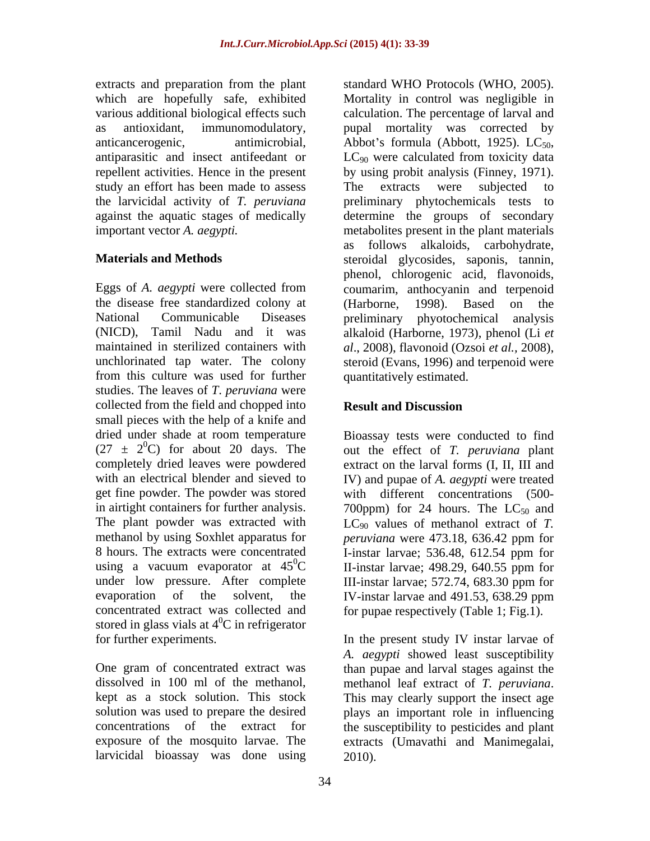anticancerogenic, antimicrobial, Abbot's formula (Abbott, 1925). LC<sub>50</sub>, antiparasitic and insect antifeedant or LC<sub>90</sub> were calculated from toxicity data study an effort has been made to assess The extracts were subjected to the larvicidal activity of *T. peruviana*

Eggs of *A. aegypti* were collected from the disease free standardized colony at (Harborne, 1998). Based on the National Communicable Diseases (NICD), Tamil Nadu and it was alkaloid (Harborne, 1973), phenol (Li *et*  maintained in sterilized containers with *al*., 2008), flavonoid (Ozsoi *et al.,* 2008), unchlorinated tap water. The colony steroid (Evans, 1996) and terpenoid were from this culture was used for further studies. The leaves of *T*. *peruviana* were collected from the field and chopped into **Result and Discussion** small pieces with the help of a knife and dried under shade at room temperature Bioassay tests were conducted to find  $(27 \pm 2^0C)$  for about 20 days. The out the effect of *T. peruviana* plant completely dried leaves were powdered extract on the larval forms (I, II, III and with an electrical blender and sieved to IV) and pupae of *A. aegypti* were treated get fine powder. The powder was stored with different concentrations (500 in airtight containers for further analysis.  $700$ ppm) for 24 hours. The  $LC_{50}$  and The plant powder was extracted with  $LC_{90}$  values of methanol extract of *T*. methanol by using Soxhlet apparatus for *peruviana* were 473.18, 636.42 ppm for 8 hours. The extracts were concentrated I-instar larvae; 536.48, 612.54 ppm for using a vacuum evaporator at  $45^{\circ}$ C II-instar-larvae; 498.29, 640.55 ppm for under low pressure. After complete III-instar larvae; 572.74, 683.30 ppm for evaporation of the solvent, the IV-instar larvae and 491.53, 638.29 ppm concentrated extract was collected and for pupae respectively (Table 1; Fig.1). stored in glass vials at  $4^{\circ}$ C in refrigerator

One gram of concentrated extract was than pupae and larval stages against the dissolved in 100 ml of the methanol, methanol leaf extract of *T. peruviana*. kept as a stock solution. This stock This may clearly support the insect age solution was used to prepare the desired plays an important role in influencing concentrations of the extract for the susceptibility to pesticides and plant exposure of the mosquito larvae. The extracts (Umavathi and Manimegalai, larvicidal bioassay was done using

extracts and preparation from the plant standard WHO Protocols (WHO, 2005). which are hopefully safe, exhibited Mortality in control was negligible in various additional biological effects such calculation. The percentage of larval and as antioxidant, immunomodulatory, pupal mortality was corrected by repellent activities. Hence in the present by using probit analysis (Finney, 1971). against the aquatic stages of medically determine the groups of secondary important vector *A. aegypti.*  metabolites present in the plant materials **Materials and Methods** steroidal glycosides, saponis, tannin, Abbot's formula (Abbott, 1925).  $LC_{50}$ ,  $LC_{90}$  were calculated from toxicity data The extracts were subjected to preliminary phytochemicals tests as follows alkaloids, carbohydrate, phenol, chlorogenic acid, flavonoids, coumarim, anthocyanin and terpenoid (Harborne, 1998). Based on the preliminary phyotochemical analysis quantitatively estimated.

## **Result and Discussion**

*peruviana* were 473.18, 636.42 ppm for II-instar larvae; 498.29, 640.55 ppm for III-instar larvae; 572.74, 683.30 ppm for IV-instar larvae and 491.53, 638.29 ppm

for further experiments. In the present study IV instar larvae of *A. aegypti* showed least susceptibility 2010).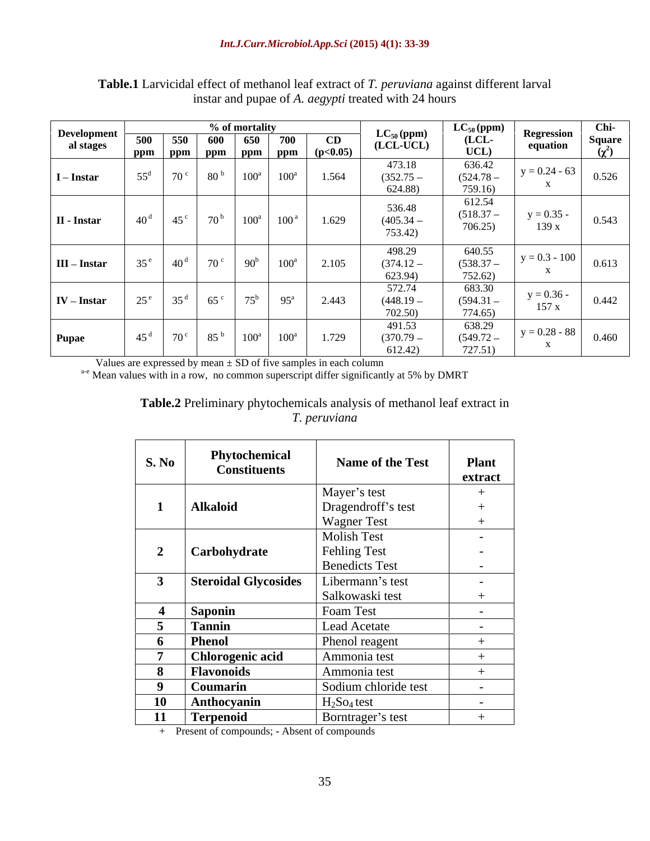| Development    |                 | % of mortality     |                   |                              |  |                                                                                                           |                                  | $LC_{50}$ (ppm)<br>(LCL-           | Regression            | Chi-          |
|----------------|-----------------|--------------------|-------------------|------------------------------|--|-----------------------------------------------------------------------------------------------------------|----------------------------------|------------------------------------|-----------------------|---------------|
| al stages      | 500             | 550                | 600               | 650 700                      |  | $\mathbf{CD}$                                                                                             | $LC_{50}$ (ppm)<br>(LCL-UCL)     |                                    | equation              | <b>Square</b> |
|                |                 |                    |                   |                              |  | $\boxed{\text{ppm} \mid \text{ppm} \mid \text{ppm} \mid \text{ppm} \mid \text{ppm} \mid (\text{p<0.05})}$ |                                  | $\overline{\text{UCL}}$            |                       |               |
| $I$ – Instar   |                 | $70^{\circ}$       | 80 <sup>b</sup>   | $100^a$ $100^a$              |  | 1.564                                                                                                     | 473.18<br>$(352.75 -$<br>624.88  | $636.42$<br>$(524.78 -$<br>759.16  | $y = 0.24 - 63$       | 0.526         |
| II - Instar    | 40 <sup>d</sup> | $45^{\circ}$       | $70^{\mathrm{b}}$ | $100^a$ $100^a$              |  | 1.629                                                                                                     | 536.48<br>$(405.34 -$<br>753.42) | 612.54<br>$(518.37 -$<br>706.25)   | $y = 0.35$<br>139x    | 0.543         |
| $III$ – Instar | $2 \epsilon e$  | $140^{\mathrm{d}}$ | $70^{\circ}$      | $90^b$ $100^a$               |  | 2.105                                                                                                     | 498.29<br>$(374.12 -$<br>623.94) | 640.55<br>$(538.37 -$<br>752.62)   | $y = 0.3 - 100$       | 0.613         |
| $IV$ – Instar  | $25^{\circ}$    | 35 <sup>d</sup>    | 65 <sup>c</sup>   | $75^{\rm b}$ 95 <sup>a</sup> |  | 2.443                                                                                                     | 572.74<br>$(448.19 -$<br>702.50) | 683.30<br>$(594.31 -$<br>774.65)   | $y = 0.36 -$<br>157 x | 0.442         |
| <b>Pupae</b>   |                 | $70^{\circ}$       | 85 <sup>b</sup>   | $100^a$ $100^a$              |  | 1.729                                                                                                     | 491.53<br>$(370.79 -$<br>612.42) | $638.29$<br>$(549.72 -$<br>727.51) | $y = 0.28 - 88$       | 0.460         |

### **Table.1** Larvicidal effect of methanol leaf extract of *T. peruviana* against different larval instar and pupae of *A. aegypti* treated with 24 hours

Values are expressed by mean  $\pm$  SD of five samples in each column<br><sup>a-e</sup> Mean values with in a row, no common superscript differ significantly at 5% by DMRT

### **Table.2** Preliminary phytochemicals analysis of methanol leaf extract in *T. peruviana*

| S. No          | Phytochemical<br><b>Constituents</b> | Name of the Test          | <b>Plant</b><br>extract  |
|----------------|--------------------------------------|---------------------------|--------------------------|
|                |                                      | Mayer's test              |                          |
|                | <b>Alkaloid</b>                      | Dragendroff's test        | $^{+}$                   |
|                |                                      | <b>Wagner Test</b>        | $^{+}$                   |
|                |                                      | <b>Molish Test</b>        | $\overline{\phantom{0}}$ |
| $\overline{2}$ | Carbohydrate                         | Fehling Test              | $\sim$                   |
|                |                                      | <b>Benedicts Test</b>     | $\sim$                   |
|                | <b>Steroidal Glycosides</b>          | Libermann's test          | $\overline{\phantom{0}}$ |
|                |                                      | Salkowaski test           | $+$                      |
|                | <b>Saponin</b>                       | Foam Test                 | $\overline{\phantom{0}}$ |
| 5 <sup>5</sup> | <b>Tannin</b>                        | Lead Acetate              | $\sim$                   |
| 6              | <b>Phenol</b>                        | Phenol reagent            |                          |
|                | <b>Chlorogenic acid</b>              | Ammonia test              |                          |
| 8              | <b>Flavonoids</b>                    | Ammonia test              |                          |
| 9              | Coumarin                             | Sodium chloride test      | $\overline{\phantom{0}}$ |
| 10             | Anthocyanin                          | $H2$ So <sub>4</sub> test | $\overline{\phantom{0}}$ |
| 11             | <b>Terpenoid</b>                     | Borntrager's test         |                          |

+ Present of compounds; **-** Absent of compounds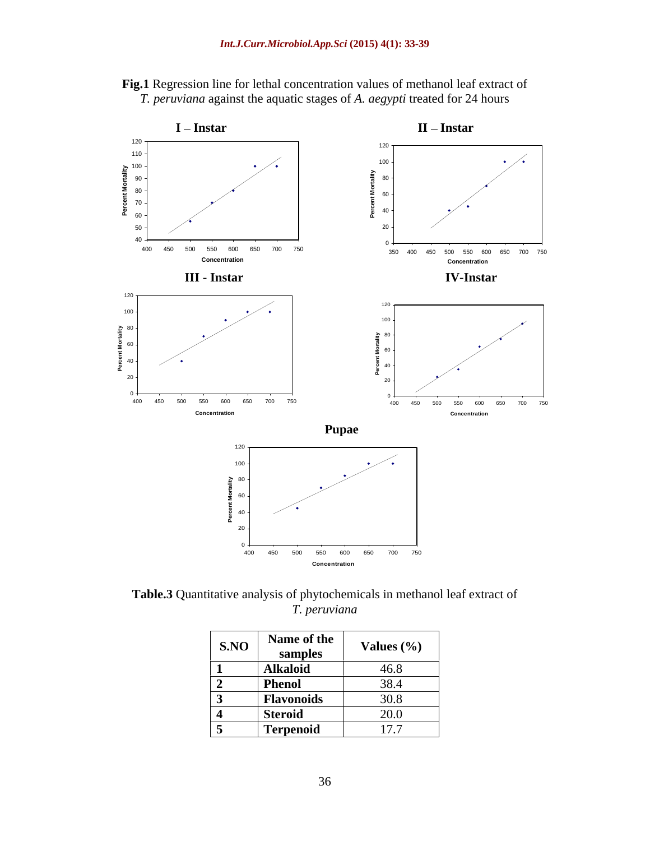



**Table.3** Quantitative analysis of phytochemicals in methanol leaf extract of *T. peruviana*

| S.NO | Name of the       | Values $(\%$                                                        |
|------|-------------------|---------------------------------------------------------------------|
|      | samples           | the contract of the contract of the contract of the                 |
|      | <b>Alkaloid</b>   | 46.8                                                                |
|      | Phenol            | 20 <sub>1</sub><br>18 4<br>$\mathsf{v} \mathsf{v} \cdot \mathsf{r}$ |
|      | <b>Flavonoids</b> | 30.8                                                                |
|      | Steroid           | 20.0                                                                |
|      | <b>Terpenoid</b>  | 17.7                                                                |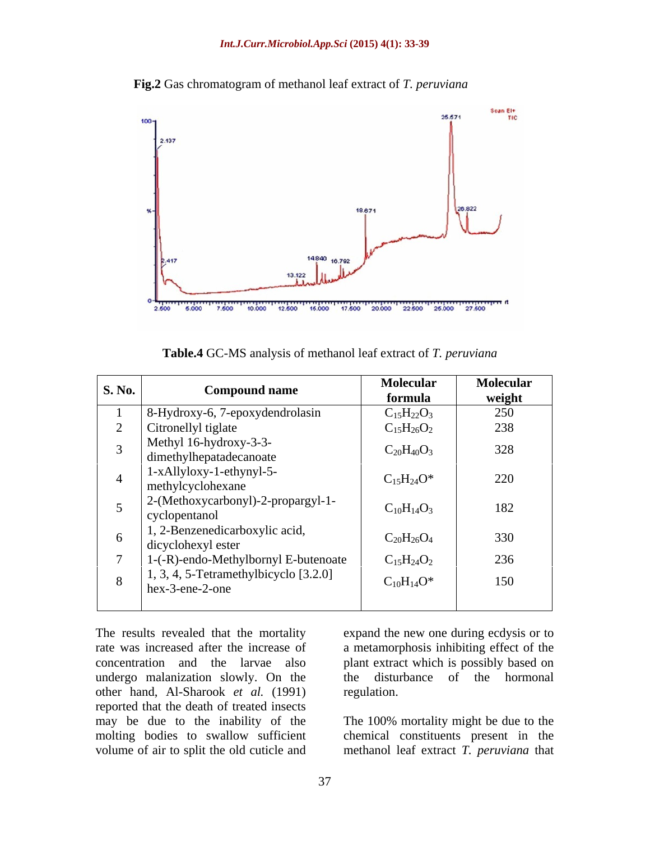



**Table.4** GC-MS analysis of methanol leaf extract of *T. peruviana*

| S. No. | <b>Compound name</b>                                     | <b>Molecular</b><br>formula | <b>Molecular</b><br>weight |
|--------|----------------------------------------------------------|-----------------------------|----------------------------|
|        | 8-Hydroxy-6, 7-epoxydendrolasin                          | $C_{15}H_{22}O_3$           | 250                        |
|        | Citronellyl tiglate                                      | $C_{15}H_{26}O_2$           | 238                        |
|        | Methyl 16-hydroxy-3-3-<br>dimethylhepatadecanoate        | $C_{20}H_{40}O_3$           | 328                        |
|        | 1-xAllyloxy-1-ethynyl-5-<br>methylcyclohexane            | $C_{15}H_{24}O^*$           | 220                        |
|        | 2-(Methoxycarbonyl)-2-propargyl-1-<br>cyclopentanol      | $C_{10}H_{14}O_3$           | 182                        |
|        | 1, 2-Benzenedicarboxylic acid,<br>dicyclohexyl ester     | $C_{20}H_{26}O_4$           | 330                        |
|        | 1-(-R)-endo-Methylbornyl E-butenoate                     | $C_{15}H_{24}O_2$           | 236                        |
| 8      | 1, 3, 4, 5-Tetramethylbicyclo [3.2.0]<br>hex-3-ene-2-one | $C_{10}H_{14}O^*$           | 150                        |

The results revealed that the mortality expand the new one during ecdysis or to rate was increased after the increase of a metamorphosis inhibiting effect of the concentration and the larvae also plant extract which is possibly based on undergo malanization slowly. On the other hand, Al-Sharook *et al.* (1991) reported that the death of treated insects may be due to the inability of the The 100% mortality might be due to the molting bodies to swallow sufficient chemical constituents present in the

disturbance of the hormonal regulation.

volume of air to split the old cuticle and methanol leaf extract *T. peruviana* that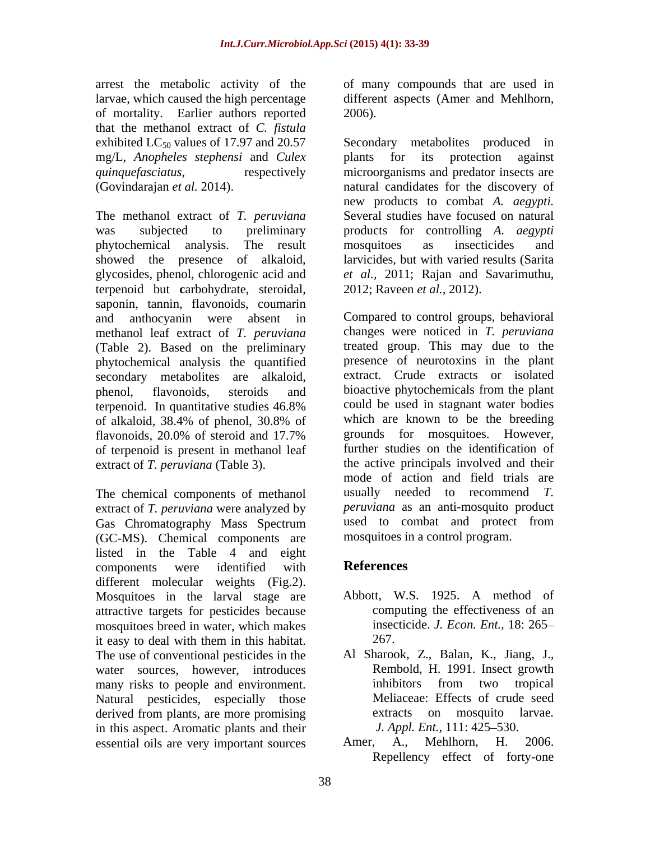arrest the metabolic activity of the of many compounds that are used in larvae, which caused the high percentage different aspects (Amer and Mehlhorn, of mortality. Earlier authors reported that the methanol extract of *C. fistula* mg/L, *Anopheles stephensi* and *Culex*

The methanol extract of *T. peruviana* was subjected to preliminary products for controlling *A. aegypti* phytochemical analysis. The result showed the presence of alkaloid, larvicides, but with varied results (Sarita glycosides, phenol, chlorogenic acid and terpenoid but **c**arbohydrate, steroidal, saponin, tannin, flavonoids, coumarin methanol leaf extract of *T. peruviana* (Table 2). Based on the preliminary phytochemical analysis the quantified secondary metabolites are alkaloid, of terpenoid is present in methanol leaf extract of *T. peruviana* (Table 3).

The chemical components of methanol usually needed to recommend T. extract of *T. peruviana* were analyzed by *peruviana* as an anti-mosquito product Gas Chromatography Mass Spectrum used to combat and protect from (GC-MS). Chemical components are listed in the Table 4 and eight components were identified with **References** different molecular weights (Fig.2). Mosquitoes in the larval stage are attractive targets for pesticides because mosquitoes breed in water, which makes it easy to deal with them in this habitat. The use of conventional pesticides in the Al Sharook, Z., Balan, K., Jiang, J., water sources, however, introduces<br>many risks to people and environment.<br>inhibitors from two tropical many risks to people and environment. Natural pesticides, especially those derived from plants, are more promising extracts on mosquito larvae. in this aspect. Aromatic plants and their *J. Appl. Ent.*, 111: 42<br>essential oils are very important sources Amer. A., Mehlhorn. essential oils are very important sources Amer, A., Mehlhorn, H. 2006.

2006).

exhibited  $LC_{50}$  values of 17.97 and 20.57 Secondary metabolites produced in *quinquefasciatus*, respectively microorganisms and predator insects are (Govindarajan *et al.* 2014). natural candidates for the discovery of plants for its protection against new products to combat *A. aegypti.* Several studies have focused on natural mosquitoes as insecticides and *et al.,* 2011; Rajan and Savarimuthu, 2012; Raveen *et al.,* 2012).

and anthocyanin were absent in Compared to control groups, behavioral phenol, flavonoids, steroids and bioactive phytochemicals from the plant terpenoid. In quantitative studies 46.8% of alkaloid, 38.4% of phenol, 30.8% of flavonoids, 20.0% of steroid and 17.7% grounds for mosquitoes. However, Gas Chromatography Mass Spectrum changes were noticed in *T. peruviana* treated group. This may due to the presence of neurotoxins in the plant extract. Crude extracts or isolated could be used in stagnant water bodies which are known to be the breeding grounds for mosquitoes. However, further studies on the identification of the active principals involved and their mode of action and field trials are usually needed to recommend *peruviana* as an anti-mosquito product used to combat and protect from mosquitoes in a control program.

# **References**

- Abbott, W.S. 1925. A method of computing the effectiveness of an insecticide. *J. Econ. Ent.,* 18: 265 267.
- Rembold, H. 1991. Insect growth inhibitors from two tropical Meliaceae: Effects of crude seed extracts on mosquito larvae*. J. Appl. Ent.,* 111: 425–530.
- Amer, A., Mehlhorn, H. 2006. Repellency effect of forty-one